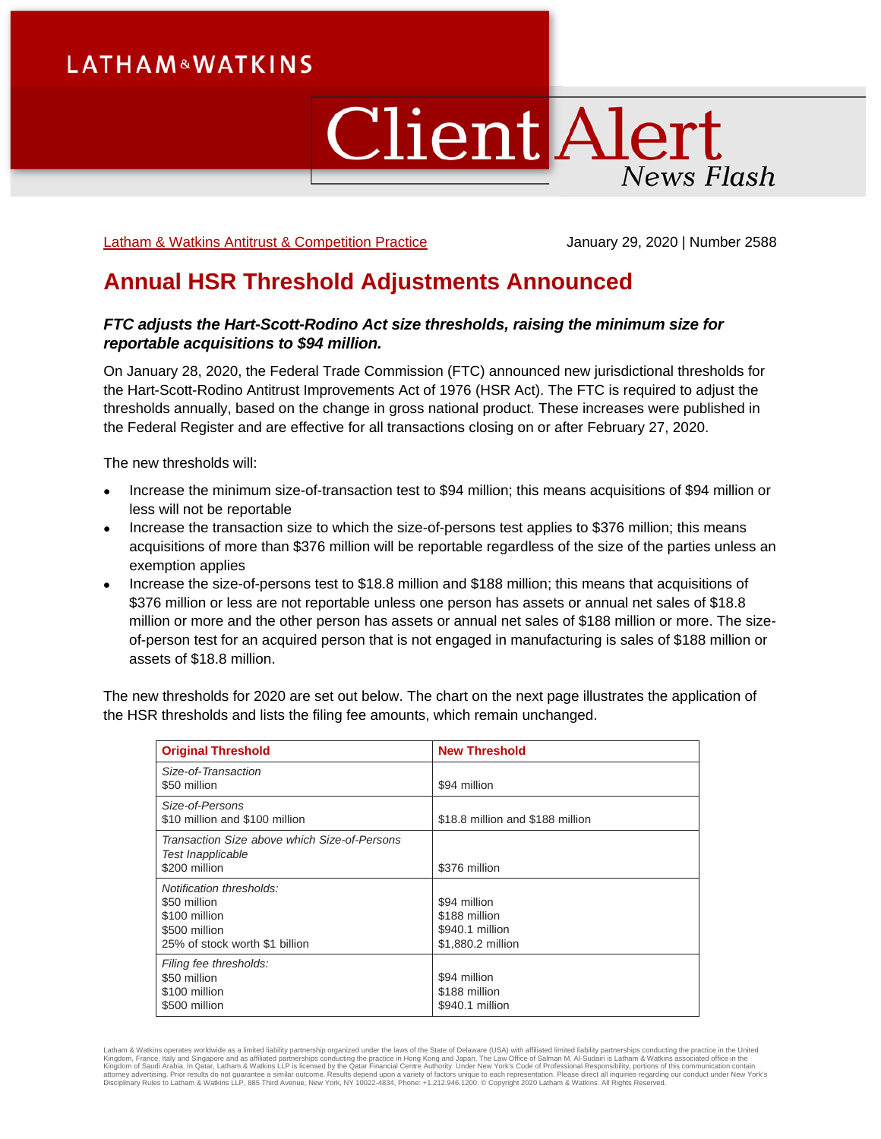# **LATHAM&WATKINS**

# **Client Alert** News Flash

[Latham & Watkins Antitrust & Competition Practice](https://www.lw.com/practices/AntitrustAndCompetition) **Gott Competition 2000** | Number 2588

## **Annual HSR Threshold Adjustments Announced**

### *FTC adjusts the Hart-Scott-Rodino Act size thresholds, raising the minimum size for reportable acquisitions to \$94 million.*

On January 28, 2020, the Federal Trade Commission (FTC) announced new jurisdictional thresholds for the Hart-Scott-Rodino Antitrust Improvements Act of 1976 (HSR Act). The FTC is required to adjust the thresholds annually, based on the change in gross national product. These increases were published in the Federal Register and are effective for all transactions closing on or after February 27, 2020.

The new thresholds will:

- Increase the minimum size-of-transaction test to \$94 million; this means acquisitions of \$94 million or less will not be reportable
- Increase the transaction size to which the size-of-persons test applies to \$376 million; this means acquisitions of more than \$376 million will be reportable regardless of the size of the parties unless an exemption applies
- Increase the size-of-persons test to \$18.8 million and \$188 million; this means that acquisitions of \$376 million or less are not reportable unless one person has assets or annual net sales of \$18.8 million or more and the other person has assets or annual net sales of \$188 million or more. The sizeof-person test for an acquired person that is not engaged in manufacturing is sales of \$188 million or assets of \$18.8 million.

The new thresholds for 2020 are set out below. The chart on the next page illustrates the application of the HSR thresholds and lists the filing fee amounts, which remain unchanged.

| <b>Original Threshold</b>                                                                                    | <b>New Threshold</b>                                                  |
|--------------------------------------------------------------------------------------------------------------|-----------------------------------------------------------------------|
| Size-of-Transaction<br>\$50 million                                                                          | \$94 million                                                          |
| Size-of-Persons<br>\$10 million and \$100 million                                                            | \$18.8 million and \$188 million                                      |
| Transaction Size above which Size-of-Persons<br>Test Inapplicable<br>\$200 million                           | \$376 million                                                         |
| Notification thresholds:<br>\$50 million<br>\$100 million<br>\$500 million<br>25% of stock worth \$1 billion | \$94 million<br>\$188 million<br>\$940.1 million<br>\$1,880.2 million |
| Filing fee thresholds:<br>\$50 million<br>\$100 million<br>\$500 million                                     | \$94 million<br>\$188 million<br>\$940.1 million                      |

Latham & Watkins operates worldwide as a limited liability partnership organized under the laws of the State of Delaware (USA) with affiliated limited liability partnerships conducting the practice in the United Kingdom, France, Italy and Singapore and as affiliated partnerships conducting the practice in Hong Kong and Japan. The Law Office of Salman M. Al-Sudairi is Latham & Watkins associated office in the<br>Kingdom of Saudi Arabi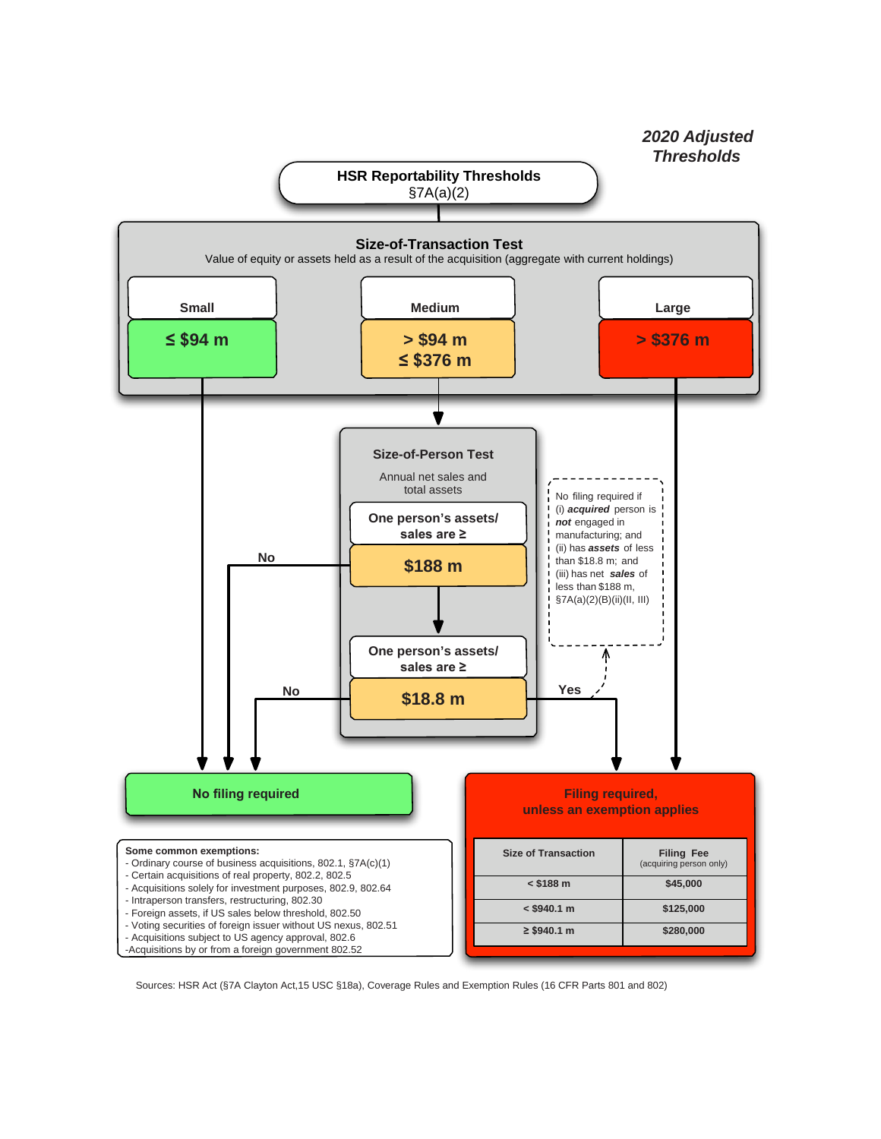

Sources: HSR Act (§7A Clayton Act,15 USC §18a), Coverage Rules and Exemption Rules (16 CFR Parts 801 and 802)